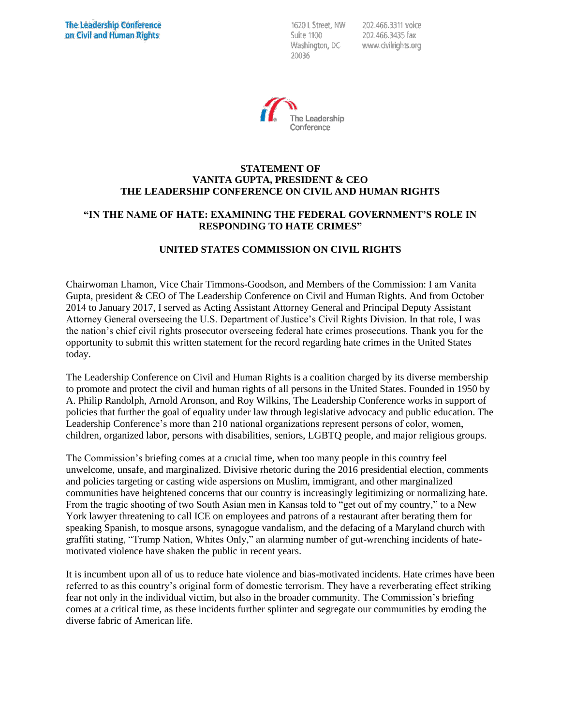1620 L Street. NW Suite 1100 Washington, DC 20036

202.466.3311 voice 202.466.3435 fax www.civilrights.org



## **STATEMENT OF VANITA GUPTA, PRESIDENT & CEO THE LEADERSHIP CONFERENCE ON CIVIL AND HUMAN RIGHTS**

## **"IN THE NAME OF HATE: EXAMINING THE FEDERAL GOVERNMENT'S ROLE IN RESPONDING TO HATE CRIMES"**

# **UNITED STATES COMMISSION ON CIVIL RIGHTS**

Chairwoman Lhamon, Vice Chair Timmons-Goodson, and Members of the Commission: I am Vanita Gupta, president & CEO of The Leadership Conference on Civil and Human Rights. And from October 2014 to January 2017, I served as Acting Assistant Attorney General and Principal Deputy Assistant Attorney General overseeing the U.S. Department of Justice's Civil Rights Division. In that role, I was the nation's chief civil rights prosecutor overseeing federal hate crimes prosecutions. Thank you for the opportunity to submit this written statement for the record regarding hate crimes in the United States today.

The Leadership Conference on Civil and Human Rights is a coalition charged by its diverse membership to promote and protect the civil and human rights of all persons in the United States. Founded in 1950 by A. Philip Randolph, Arnold Aronson, and Roy Wilkins, The Leadership Conference works in support of policies that further the goal of equality under law through legislative advocacy and public education. The Leadership Conference's more than 210 national organizations represent persons of color, women, children, organized labor, persons with disabilities, seniors, LGBTQ people, and major religious groups.

The Commission's briefing comes at a crucial time, when too many people in this country feel unwelcome, unsafe, and marginalized. Divisive rhetoric during the 2016 presidential election, comments and policies targeting or casting wide aspersions on Muslim, immigrant, and other marginalized communities have heightened concerns that our country is increasingly legitimizing or normalizing hate. From the tragic shooting of two South Asian men in Kansas told to "get out of my country," to a New York lawyer threatening to call ICE on employees and patrons of a restaurant after berating them for speaking Spanish, to mosque arsons, synagogue vandalism, and the defacing of a Maryland church with graffiti stating, "Trump Nation, Whites Only," an alarming number of gut-wrenching incidents of hatemotivated violence have shaken the public in recent years.

It is incumbent upon all of us to reduce hate violence and bias-motivated incidents. Hate crimes have been referred to as this country's original form of domestic terrorism. They have a reverberating effect striking fear not only in the individual victim, but also in the broader community. The Commission's briefing comes at a critical time, as these incidents further splinter and segregate our communities by eroding the diverse fabric of American life.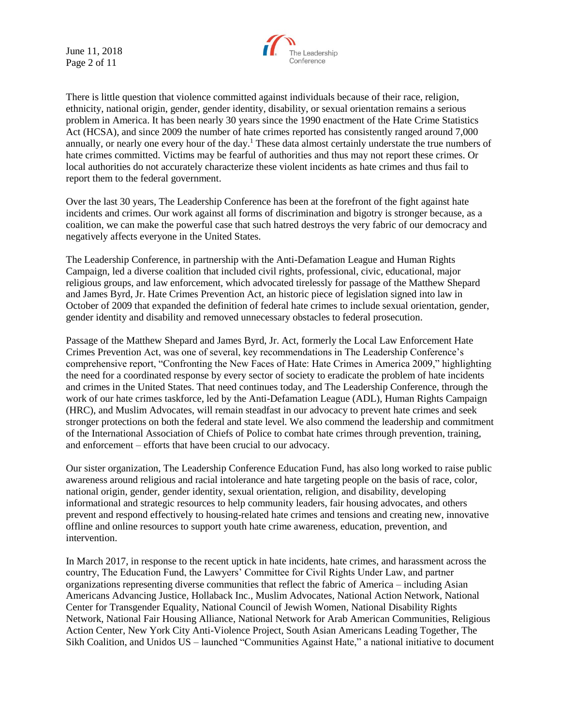June 11, 2018 Page 2 of 11



There is little question that violence committed against individuals because of their race, religion, ethnicity, national origin, gender, gender identity, disability, or sexual orientation remains a serious problem in America. It has been nearly 30 years since the 1990 enactment of the Hate Crime Statistics Act (HCSA), and since 2009 the number of hate crimes reported has consistently ranged around 7,000 annually, or nearly one every hour of the day.<sup>1</sup> These data almost certainly understate the true numbers of hate crimes committed. Victims may be fearful of authorities and thus may not report these crimes. Or local authorities do not accurately characterize these violent incidents as hate crimes and thus fail to report them to the federal government.

Over the last 30 years, The Leadership Conference has been at the forefront of the fight against hate incidents and crimes. Our work against all forms of discrimination and bigotry is stronger because, as a coalition, we can make the powerful case that such hatred destroys the very fabric of our democracy and negatively affects everyone in the United States.

The Leadership Conference, in partnership with the Anti-Defamation League and Human Rights Campaign, led a diverse coalition that included civil rights, professional, civic, educational, major religious groups, and law enforcement, which advocated tirelessly for passage of the Matthew Shepard and James Byrd, Jr. Hate Crimes Prevention Act, an historic piece of legislation signed into law in October of 2009 that expanded the definition of federal hate crimes to include sexual orientation, gender, gender identity and disability and removed unnecessary obstacles to federal prosecution.

Passage of the Matthew Shepard and James Byrd, Jr. Act, formerly the Local Law Enforcement Hate Crimes Prevention Act, was one of several, key recommendations in The Leadership Conference's comprehensive report, "Confronting the New Faces of Hate: Hate Crimes in America 2009," highlighting the need for a coordinated response by every sector of society to eradicate the problem of hate incidents and crimes in the United States. That need continues today, and The Leadership Conference, through the work of our hate crimes taskforce, led by the Anti-Defamation League (ADL), Human Rights Campaign (HRC), and Muslim Advocates, will remain steadfast in our advocacy to prevent hate crimes and seek stronger protections on both the federal and state level. We also commend the leadership and commitment of the International Association of Chiefs of Police to combat hate crimes through prevention, training, and enforcement – efforts that have been crucial to our advocacy.

Our sister organization, The Leadership Conference Education Fund, has also long worked to raise public awareness around religious and racial intolerance and hate targeting people on the basis of race, color, national origin, gender, gender identity, sexual orientation, religion, and disability, developing informational and strategic resources to help community leaders, fair housing advocates, and others prevent and respond effectively to housing-related hate crimes and tensions and creating new, innovative offline and online resources to support youth hate crime awareness, education, prevention, and intervention.

In March 2017, in response to the recent uptick in hate incidents, hate crimes, and harassment across the country, The Education Fund, the Lawyers' Committee for Civil Rights Under Law, and partner organizations representing diverse communities that reflect the fabric of America – including Asian Americans Advancing Justice, Hollaback Inc., Muslim Advocates, National Action Network, National Center for Transgender Equality, National Council of Jewish Women, National Disability Rights Network, National Fair Housing Alliance, National Network for Arab American Communities, Religious Action Center, New York City Anti-Violence Project, South Asian Americans Leading Together, The Sikh Coalition, and Unidos US – launched "Communities Against Hate," a national initiative to document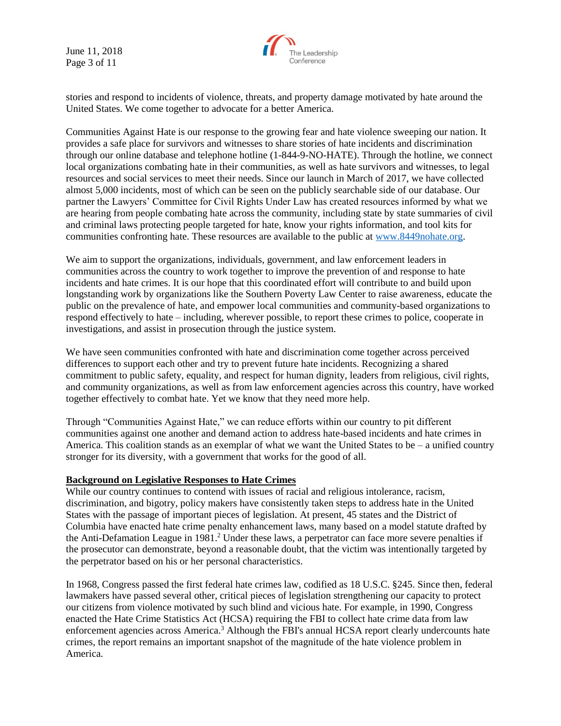June 11, 2018 Page 3 of 11



stories and respond to incidents of violence, threats, and property damage motivated by hate around the United States. We come together to advocate for a better America.

Communities Against Hate is our response to the growing fear and hate violence sweeping our nation. It provides a safe place for survivors and witnesses to share stories of hate incidents and discrimination through our online database and telephone hotline (1-844-9-NO-HATE). Through the hotline, we connect local organizations combating hate in their communities, as well as hate survivors and witnesses, to legal resources and social services to meet their needs. Since our launch in March of 2017, we have collected almost 5,000 incidents, most of which can be seen on the publicly searchable side of our database. Our partner the Lawyers' Committee for Civil Rights Under Law has created resources informed by what we are hearing from people combating hate across the community, including state by state summaries of civil and criminal laws protecting people targeted for hate, know your rights information, and tool kits for communities confronting hate. These resources are available to the public at [www.8449nohate.org.](http://www.8449nohate.org/)

We aim to support the organizations, individuals, government, and law enforcement leaders in communities across the country to work together to improve the prevention of and response to hate incidents and hate crimes. It is our hope that this coordinated effort will contribute to and build upon longstanding work by organizations like the Southern Poverty Law Center to raise awareness, educate the public on the prevalence of hate, and empower local communities and community-based organizations to respond effectively to hate – including, wherever possible, to report these crimes to police, cooperate in investigations, and assist in prosecution through the justice system.

We have seen communities confronted with hate and discrimination come together across perceived differences to support each other and try to prevent future hate incidents. Recognizing a shared commitment to public safety, equality, and respect for human dignity, leaders from religious, civil rights, and community organizations, as well as from law enforcement agencies across this country, have worked together effectively to combat hate. Yet we know that they need more help.

Through "Communities Against Hate," we can reduce efforts within our country to pit different communities against one another and demand action to address hate-based incidents and hate crimes in America. This coalition stands as an exemplar of what we want the United States to be  $-$  a unified country stronger for its diversity, with a government that works for the good of all.

### **Background on Legislative Responses to Hate Crimes**

While our country continues to contend with issues of racial and religious intolerance, racism, discrimination, and bigotry, policy makers have consistently taken steps to address hate in the United States with the passage of important pieces of legislation. At present, 45 states and the District of Columbia have enacted hate crime penalty enhancement laws, many based on a model statute drafted by the Anti-Defamation League in 1981.<sup>2</sup> Under these laws, a perpetrator can face more severe penalties if the prosecutor can demonstrate, beyond a reasonable doubt, that the victim was intentionally targeted by the perpetrator based on his or her personal characteristics.

In 1968, Congress passed the first federal hate crimes law, codified as 18 U.S.C. §245. Since then, federal lawmakers have passed several other, critical pieces of legislation strengthening our capacity to protect our citizens from violence motivated by such blind and vicious hate. For example, in 1990, Congress enacted the Hate Crime Statistics Act (HCSA) requiring the FBI to collect hate crime data from law enforcement agencies across America.<sup>3</sup> Although the FBI's annual HCSA report clearly undercounts hate crimes, the report remains an important snapshot of the magnitude of the hate violence problem in America.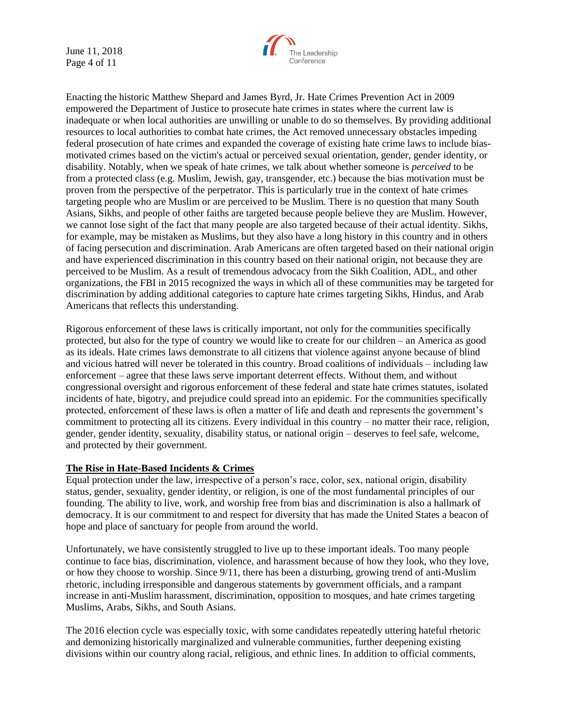June 11, 2018 Page 4 of 11



Enacting the historic Matthew Shepard and James Byrd, Jr. Hate Crimes Prevention Act in 2009 empowered the Department of Justice to prosecute hate crimes in states where the current law is inadequate or when local authorities are unwilling or unable to do so themselves. By providing additional resources to local authorities to combat hate crimes, the Act removed unnecessary obstacles impeding federal prosecution of hate crimes and expanded the coverage of existing hate crime laws to include biasmotivated crimes based on the victim's actual or perceived sexual orientation, gender, gender identity, or disability. Notably, when we speak of hate crimes, we talk about whether someone is *perceived* to be from a protected class (e.g. Muslim, Jewish, gay, transgender, etc.) because the bias motivation must be proven from the perspective of the perpetrator. This is particularly true in the context of hate crimes targeting people who are Muslim or are perceived to be Muslim. There is no question that many South Asians, Sikhs, and people of other faiths are targeted because people believe they are Muslim. However, we cannot lose sight of the fact that many people are also targeted because of their actual identity. Sikhs, for example, may be mistaken as Muslims, but they also have a long history in this country and in others of facing persecution and discrimination. Arab Americans are often targeted based on their national origin and have experienced discrimination in this country based on their national origin, not because they are perceived to be Muslim. As a result of tremendous advocacy from the Sikh Coalition, ADL, and other organizations, the FBI in 2015 recognized the ways in which all of these communities may be targeted for discrimination by adding additional categories to capture hate crimes targeting Sikhs, Hindus, and Arab Americans that reflects this understanding.

Rigorous enforcement of these laws is critically important, not only for the communities specifically protected, but also for the type of country we would like to create for our children – an America as good as its ideals. Hate crimes laws demonstrate to all citizens that violence against anyone because of blind and vicious hatred will never be tolerated in this country. Broad coalitions of individuals – including law enforcement – agree that these laws serve important deterrent effects. Without them, and without congressional oversight and rigorous enforcement of these federal and state hate crimes statutes, isolated incidents of hate, bigotry, and prejudice could spread into an epidemic. For the communities specifically protected, enforcement of these laws is often a matter of life and death and represents the government's commitment to protecting all its citizens. Every individual in this country – no matter their race, religion, gender, gender identity, sexuality, disability status, or national origin – deserves to feel safe, welcome, and protected by their government.

### **The Rise in Hate-Based Incidents & Crimes**

Equal protection under the law, irrespective of a person's race, color, sex, national origin, disability status, gender, sexuality, gender identity, or religion, is one of the most fundamental principles of our founding. The ability to live, work, and worship free from bias and discrimination is also a hallmark of democracy. It is our commitment to and respect for diversity that has made the United States a beacon of hope and place of sanctuary for people from around the world.

Unfortunately, we have consistently struggled to live up to these important ideals. Too many people continue to face bias, discrimination, violence, and harassment because of how they look, who they love, or how they choose to worship. Since 9/11, there has been a disturbing, growing trend of anti-Muslim rhetoric, including irresponsible and dangerous statements by government officials, and a rampant increase in anti-Muslim harassment, discrimination, opposition to mosques, and hate crimes targeting Muslims, Arabs, Sikhs, and South Asians.

The 2016 election cycle was especially toxic, with some candidates repeatedly uttering hateful rhetoric and demonizing historically marginalized and vulnerable communities, further deepening existing divisions within our country along racial, religious, and ethnic lines. In addition to official comments,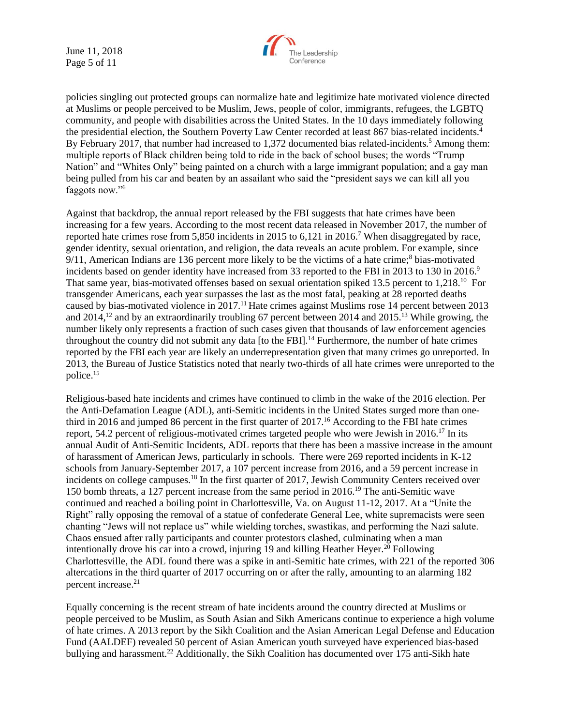June 11, 2018 Page 5 of 11



policies singling out protected groups can normalize hate and legitimize hate motivated violence directed at Muslims or people perceived to be Muslim, Jews, people of color, immigrants, refugees, the LGBTQ community, and people with disabilities across the United States. In the 10 days immediately following the presidential election, the Southern Poverty Law Center recorded at least 867 bias-related incidents.<sup>4</sup> By February 2017, that number had increased to 1,372 documented bias related-incidents.<sup>5</sup> Among them: multiple reports of Black children being told to ride in the back of school buses; the words "Trump Nation" and "Whites Only" being painted on a church with a large immigrant population; and a gay man being pulled from his car and beaten by an assailant who said the "president says we can kill all you faggots now."<sup>6</sup>

Against that backdrop, the annual report released by the FBI suggests that hate crimes have been increasing for a few years. According to the most recent data released in November 2017, the number of reported hate crimes rose from 5,850 incidents in 2015 to 6,121 in 2016.<sup>7</sup> When disaggregated by race, gender identity, sexual orientation, and religion, the data reveals an acute problem. For example, since  $9/11$ , American Indians are 136 percent more likely to be the victims of a hate crime;<sup>8</sup> bias-motivated incidents based on gender identity have increased from 33 reported to the FBI in 2013 to 130 in 2016.<sup>9</sup> That same year, bias-motivated offenses based on sexual orientation spiked 13.5 percent to 1,218.<sup>10</sup> For transgender Americans, each year surpasses the last as the most fatal, peaking at 28 reported deaths caused by bias-motivated violence in 2017.<sup>11</sup> Hate crimes against Muslims rose 14 percent between 2013 and 2014,<sup>12</sup> and by an extraordinarily troubling 67 percent between 2014 and 2015.<sup>13</sup> While growing, the number likely only represents a fraction of such cases given that thousands of law enforcement agencies throughout the country did not submit any data [to the FBI].<sup>14</sup> Furthermore, the number of hate crimes reported by the FBI each year are likely an underrepresentation given that many crimes go unreported. In 2013, the Bureau of Justice Statistics noted that nearly two-thirds of all hate crimes were unreported to the police. 15

Religious-based hate incidents and crimes have continued to climb in the wake of the 2016 election. Per the Anti-Defamation League (ADL), anti-Semitic incidents in the United States surged more than onethird in 2016 and jumped 86 percent in the first quarter of 2017.<sup>16</sup> According to the FBI hate crimes report, 54.2 percent of religious-motivated crimes targeted people who were Jewish in 2016.<sup>17</sup> In its annual Audit of Anti-Semitic Incidents, ADL reports that there has been a massive increase in the amount of harassment of American Jews, particularly in schools. There were 269 reported incidents in K-12 schools from January-September 2017, a 107 percent increase from 2016, and a 59 percent increase in incidents on college campuses.<sup>18</sup> In the first quarter of 2017, Jewish Community Centers received over 150 bomb threats, a 127 percent increase from the same period in 2016.<sup>19</sup> The anti-Semitic wave continued and reached a boiling point in Charlottesville, Va. on August 11-12, 2017. At a "Unite the Right" rally opposing the removal of a statue of confederate General Lee, white supremacists were seen chanting "Jews will not replace us" while wielding torches, swastikas, and performing the Nazi salute. Chaos ensued after rally participants and counter protestors clashed, culminating when a man intentionally drove his car into a crowd, injuring 19 and killing Heather Heyer.<sup>20</sup> Following Charlottesville, the ADL found there was a spike in anti-Semitic hate crimes, with 221 of the reported 306 altercations in the third quarter of 2017 occurring on or after the rally, amounting to an alarming 182 percent increase.<sup>21</sup>

Equally concerning is the recent stream of hate incidents around the country directed at Muslims or people perceived to be Muslim, as South Asian and Sikh Americans continue to experience a high volume of hate crimes. A 2013 report by the Sikh Coalition and the Asian American Legal Defense and Education Fund (AALDEF) revealed 50 percent of Asian American youth surveyed have experienced bias-based bullying and harassment.<sup>22</sup> Additionally, the Sikh Coalition has documented over 175 anti-Sikh hate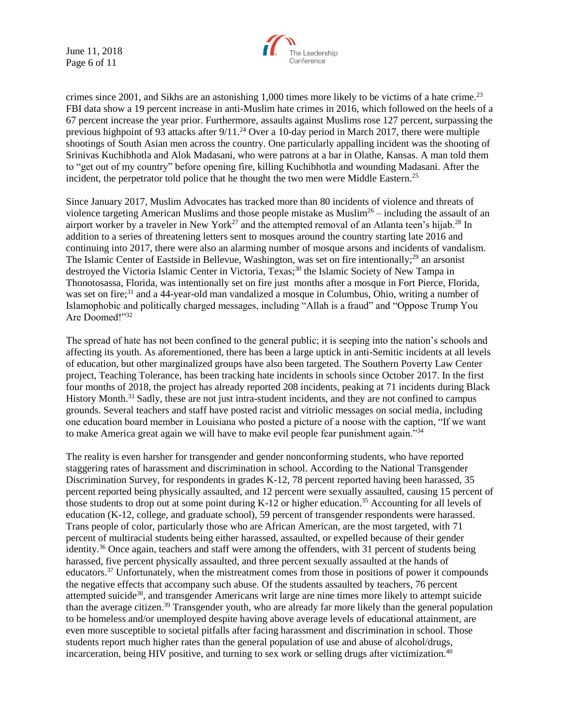June 11, 2018 Page 6 of 11



crimes since 2001, and Sikhs are an astonishing 1,000 times more likely to be victims of a hate crime.<sup>23</sup> FBI data show a 19 percent increase in anti-Muslim hate crimes in 2016, which followed on the heels of a 67 percent increase the year prior. Furthermore, assaults against Muslims rose 127 percent, surpassing the previous highpoint of 93 attacks after 9/11.<sup>24</sup> Over a 10-day period in March 2017, there were multiple shootings of South Asian men across the country. One particularly appalling incident was the shooting of Srinivas Kuchibhotla and Alok Madasani, who were patrons at a bar in Olathe, Kansas. A man told them to "get out of my country" before opening fire, killing Kuchibhotla and wounding Madasani. After the incident, the perpetrator told police that he thought the two men were Middle Eastern.<sup>25</sup>

Since January 2017, Muslim Advocates has tracked more than 80 incidents of violence and threats of violence targeting American Muslims and those people mistake as Muslim<sup>26</sup> – including the assault of an airport worker by a traveler in New York<sup>27</sup> and the attempted removal of an Atlanta teen's hijab.<sup>28</sup> In addition to a series of threatening letters sent to mosques around the country starting late 2016 and continuing into 2017, there were also an alarming number of mosque arsons and incidents of vandalism. The Islamic Center of Eastside in Bellevue, Washington, was set on fire intentionally;<sup>29</sup> an arsonist destroyed the Victoria Islamic Center in Victoria, Texas;<sup>30</sup> the Islamic Society of New Tampa in Thonotosassa, Florida, was intentionally set on fire just months after a mosque in Fort Pierce, Florida, was set on fire;<sup>31</sup> and a 44-year-old man vandalized a mosque in Columbus, Ohio, writing a number of Islamophobic and politically charged messages, including "Allah is a fraud" and "Oppose Trump You Are Doomed!"32

The spread of hate has not been confined to the general public; it is seeping into the nation's schools and affecting its youth. As aforementioned, there has been a large uptick in anti-Semitic incidents at all levels of education, but other marginalized groups have also been targeted. The Southern Poverty Law Center project, Teaching Tolerance, has been tracking hate incidents in schools since October 2017. In the first four months of 2018, the project has already reported 208 incidents, peaking at 71 incidents during Black History Month.<sup>33</sup> Sadly, these are not just intra-student incidents, and they are not confined to campus grounds. Several teachers and staff have posted racist and vitriolic messages on social media, including one education board member in Louisiana who posted a picture of a noose with the caption, "If we want to make America great again we will have to make evil people fear punishment again."<sup>34</sup>

The reality is even harsher for transgender and gender nonconforming students, who have reported staggering rates of harassment and discrimination in school. According to the National Transgender Discrimination Survey, for respondents in grades K-12, 78 percent reported having been harassed, 35 percent reported being physically assaulted, and 12 percent were sexually assaulted, causing 15 percent of those students to drop out at some point during K-12 or higher education.<sup>35</sup> Accounting for all levels of education (K-12, college, and graduate school), 59 percent of transgender respondents were harassed. Trans people of color, particularly those who are African American, are the most targeted, with 71 percent of multiracial students being either harassed, assaulted, or expelled because of their gender identity.<sup>36</sup> Once again, teachers and staff were among the offenders, with 31 percent of students being harassed, five percent physically assaulted, and three percent sexually assaulted at the hands of educators.<sup>37</sup> Unfortunately, when the mistreatment comes from those in positions of power it compounds the negative effects that accompany such abuse. Of the students assaulted by teachers, 76 percent attempted suicide<sup>38</sup>, and transgender Americans writ large are nine times more likely to attempt suicide than the average citizen.<sup>39</sup> Transgender youth, who are already far more likely than the general population to be homeless and/or unemployed despite having above average levels of educational attainment, are even more susceptible to societal pitfalls after facing harassment and discrimination in school. Those students report much higher rates than the general population of use and abuse of alcohol/drugs, incarceration, being HIV positive, and turning to sex work or selling drugs after victimization. 40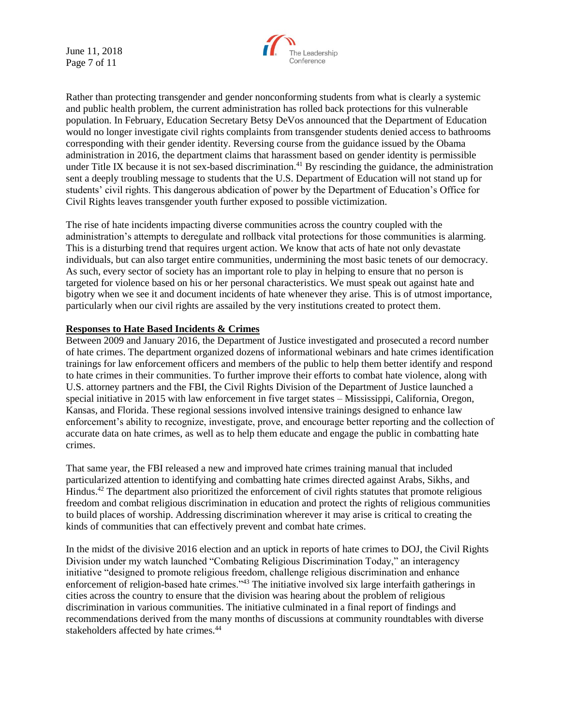June 11, 2018 Page 7 of 11



Rather than protecting transgender and gender nonconforming students from what is clearly a systemic and public health problem, the current administration has rolled back protections for this vulnerable population. In February, Education Secretary Betsy DeVos announced that the Department of Education would no longer investigate civil rights complaints from transgender students denied access to bathrooms corresponding with their gender identity. Reversing course from the guidance issued by the Obama administration in 2016, the department claims that harassment based on gender identity is permissible under Title IX because it is not sex-based discrimination.<sup>41</sup> By rescinding the guidance, the administration sent a deeply troubling message to students that the U.S. Department of Education will not stand up for students' civil rights. This dangerous abdication of power by the Department of Education's Office for Civil Rights leaves transgender youth further exposed to possible victimization.

The rise of hate incidents impacting diverse communities across the country coupled with the administration's attempts to deregulate and rollback vital protections for those communities is alarming. This is a disturbing trend that requires urgent action. We know that acts of hate not only devastate individuals, but can also target entire communities, undermining the most basic tenets of our democracy. As such, every sector of society has an important role to play in helping to ensure that no person is targeted for violence based on his or her personal characteristics. We must speak out against hate and bigotry when we see it and document incidents of hate whenever they arise. This is of utmost importance, particularly when our civil rights are assailed by the very institutions created to protect them.

#### **Responses to Hate Based Incidents & Crimes**

Between 2009 and January 2016, the Department of Justice investigated and prosecuted a record number of hate crimes. The department organized dozens of informational webinars and hate crimes identification trainings for law enforcement officers and members of the public to help them better identify and respond to hate crimes in their communities. To further improve their efforts to combat hate violence, along with U.S. attorney partners and the FBI, the Civil Rights Division of the Department of Justice launched a special initiative in 2015 with law enforcement in five target states – Mississippi, California, Oregon, Kansas, and Florida. These regional sessions involved intensive trainings designed to enhance law enforcement's ability to recognize, investigate, prove, and encourage better reporting and the collection of accurate data on hate crimes, as well as to help them educate and engage the public in combatting hate crimes.

That same year, the FBI released a new and improved hate crimes training manual that included particularized attention to identifying and combatting hate crimes directed against Arabs, Sikhs, and Hindus.<sup>42</sup> The department also prioritized the enforcement of civil rights statutes that promote religious freedom and combat religious discrimination in education and protect the rights of religious communities to build places of worship. Addressing discrimination wherever it may arise is critical to creating the kinds of communities that can effectively prevent and combat hate crimes.

In the midst of the divisive 2016 election and an uptick in reports of hate crimes to DOJ, the Civil Rights Division under my watch launched "Combating Religious Discrimination Today," an interagency initiative "designed to promote religious freedom, challenge religious discrimination and enhance enforcement of religion-based hate crimes."<sup>43</sup> The initiative involved six large interfaith gatherings in cities across the country to ensure that the division was hearing about the problem of religious discrimination in various communities. The initiative culminated in a final report of findings and recommendations derived from the many months of discussions at community roundtables with diverse stakeholders affected by hate crimes.<sup>44</sup>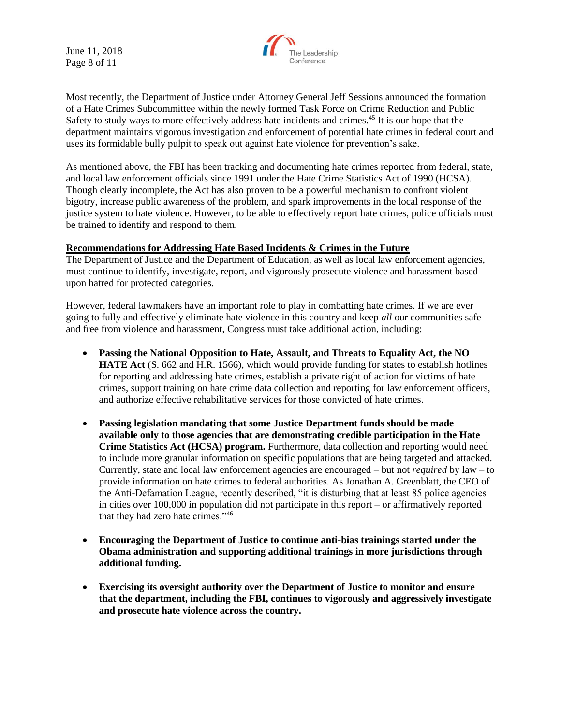June 11, 2018 Page 8 of 11



Most recently, the Department of Justice under Attorney General Jeff Sessions announced the formation of a Hate Crimes Subcommittee within the newly formed Task Force on Crime Reduction and Public Safety to study ways to more effectively address hate incidents and crimes.<sup>45</sup> It is our hope that the department maintains vigorous investigation and enforcement of potential hate crimes in federal court and uses its formidable bully pulpit to speak out against hate violence for prevention's sake.

As mentioned above, the FBI has been tracking and documenting hate crimes reported from federal, state, and local law enforcement officials since 1991 under the Hate Crime Statistics Act of 1990 (HCSA). Though clearly incomplete, the Act has also proven to be a powerful mechanism to confront violent bigotry, increase public awareness of the problem, and spark improvements in the local response of the justice system to hate violence. However, to be able to effectively report hate crimes, police officials must be trained to identify and respond to them.

#### **Recommendations for Addressing Hate Based Incidents & Crimes in the Future**

The Department of Justice and the Department of Education, as well as local law enforcement agencies, must continue to identify, investigate, report, and vigorously prosecute violence and harassment based upon hatred for protected categories.

However, federal lawmakers have an important role to play in combatting hate crimes. If we are ever going to fully and effectively eliminate hate violence in this country and keep *all* our communities safe and free from violence and harassment, Congress must take additional action, including:

- **Passing the National Opposition to Hate, Assault, and Threats to Equality Act, the NO HATE Act** (S. 662 and H.R. 1566), which would provide funding for states to establish hotlines for reporting and addressing hate crimes, establish a private right of action for victims of hate crimes, support training on hate crime data collection and reporting for law enforcement officers, and authorize effective rehabilitative services for those convicted of hate crimes.
- **Passing legislation mandating that some Justice Department funds should be made available only to those agencies that are demonstrating credible participation in the Hate Crime Statistics Act (HCSA) program.** Furthermore, data collection and reporting would need to include more granular information on specific populations that are being targeted and attacked. Currently, state and local law enforcement agencies are encouraged – but not *required* by law – to provide information on hate crimes to federal authorities. As Jonathan A. Greenblatt, the CEO of the Anti-Defamation League, recently described, "it is disturbing that at least 85 police agencies in cities over 100,000 in population did not participate in this report – or affirmatively reported that they had zero hate crimes."<sup>46</sup>
- **Encouraging the Department of Justice to continue anti-bias trainings started under the Obama administration and supporting additional trainings in more jurisdictions through additional funding.**
- **Exercising its oversight authority over the Department of Justice to monitor and ensure that the department, including the FBI, continues to vigorously and aggressively investigate and prosecute hate violence across the country.**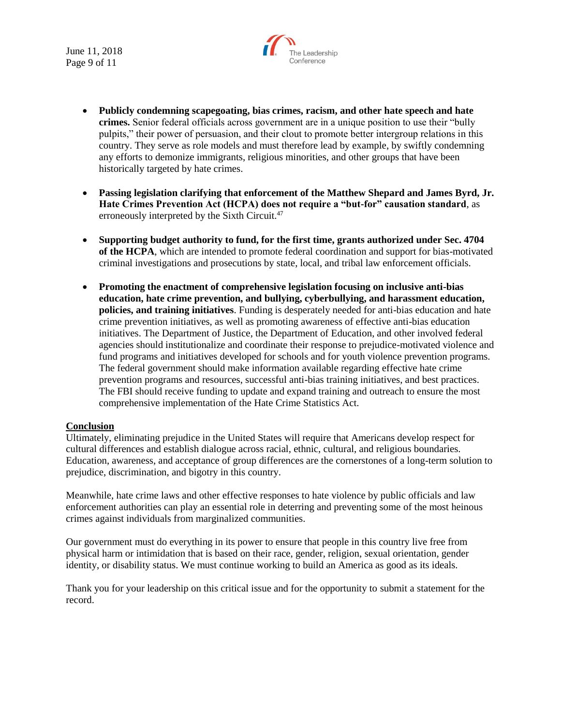June 11, 2018 Page 9 of 11



- **Publicly condemning scapegoating, bias crimes, racism, and other hate speech and hate crimes.** Senior federal officials across government are in a unique position to use their "bully pulpits," their power of persuasion, and their clout to promote better intergroup relations in this country. They serve as role models and must therefore lead by example, by swiftly condemning any efforts to demonize immigrants, religious minorities, and other groups that have been historically targeted by hate crimes.
- **Passing legislation clarifying that enforcement of the Matthew Shepard and James Byrd, Jr. Hate Crimes Prevention Act (HCPA) does not require a "but-for" causation standard**, as erroneously interpreted by the Sixth Circuit.<sup>47</sup>
- **Supporting budget authority to fund, for the first time, grants authorized under Sec. 4704 of the HCPA**, which are intended to promote federal coordination and support for bias-motivated criminal investigations and prosecutions by state, local, and tribal law enforcement officials.
- **Promoting the enactment of comprehensive legislation focusing on inclusive anti-bias education, hate crime prevention, and bullying, cyberbullying, and harassment education, policies, and training initiatives**. Funding is desperately needed for anti-bias education and hate crime prevention initiatives, as well as promoting awareness of effective anti-bias education initiatives. The Department of Justice, the Department of Education, and other involved federal agencies should institutionalize and coordinate their response to prejudice-motivated violence and fund programs and initiatives developed for schools and for youth violence prevention programs. The federal government should make information available regarding effective hate crime prevention programs and resources, successful anti-bias training initiatives, and best practices. The FBI should receive funding to update and expand training and outreach to ensure the most comprehensive implementation of the Hate Crime Statistics Act.

# **Conclusion**

Ultimately, eliminating prejudice in the United States will require that Americans develop respect for cultural differences and establish dialogue across racial, ethnic, cultural, and religious boundaries. Education, awareness, and acceptance of group differences are the cornerstones of a long-term solution to prejudice, discrimination, and bigotry in this country.

Meanwhile, hate crime laws and other effective responses to hate violence by public officials and law enforcement authorities can play an essential role in deterring and preventing some of the most heinous crimes against individuals from marginalized communities.

Our government must do everything in its power to ensure that people in this country live free from physical harm or intimidation that is based on their race, gender, religion, sexual orientation, gender identity, or disability status. We must continue working to build an America as good as its ideals.

Thank you for your leadership on this critical issue and for the opportunity to submit a statement for the record.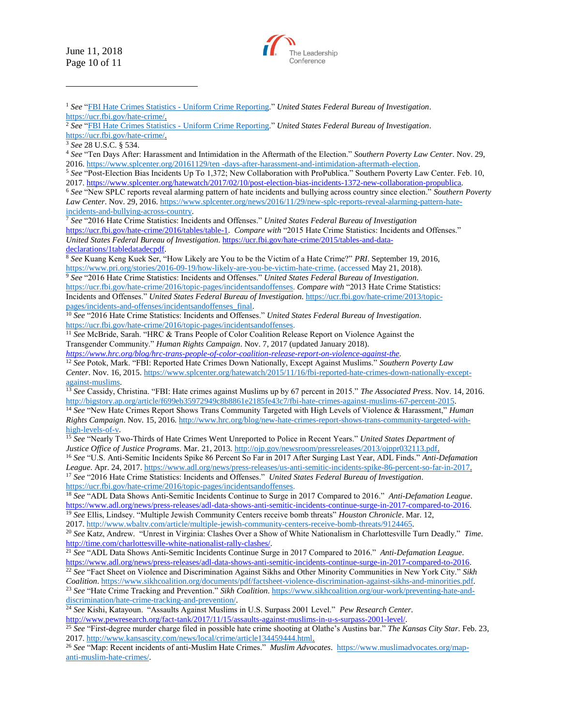June 11, 2018 Page 10 of 11

 $\overline{a}$ 



<sup>1</sup> *See* ["FBI Hate Crimes Statistics -](https://ucr.fbi.gov/hate-crime/) Uniform Crime Reporting." *United States Federal Bureau of Investigation*. [https://ucr.fbi.gov/hate-crime/.](https://ucr.fbi.gov/hate-crime/)

<sup>7</sup> *See* "2016 Hate Crime Statistics: Incidents and Offenses." *United States Federal Bureau of Investigation* [https://ucr.fbi.gov/hate-crime/2016/tables/table-1.](https://ucr.fbi.gov/hate-crime/2016/tables/table-1) *Compare with* "2015 Hate Crime Statistics: Incidents and Offenses." *United States Federal Bureau of Investigation*[. https://ucr.fbi.gov/hate-crime/2015/tables-and-data](https://ucr.fbi.gov/hate-crime/2015/tables-and-data-declarations/1tabledatadecpdf)[declarations/1tabledatadecpdf.](https://ucr.fbi.gov/hate-crime/2015/tables-and-data-declarations/1tabledatadecpdf) 

<sup>8</sup> *See* Kuang Keng Kuek Ser, "How Likely are You to be the Victim of a Hate Crime?" *PRI*. September 19, 2016, [https://www.pri.org/stories/2016-09-19/how-likely-are-you-be-victim-hate-crime. \(](https://www.pri.org/stories/2016-09-19/how-likely-are-you-be-victim-hate-crime)accessed May 21, 2018).

<sup>9</sup> *See* "2016 Hate Crime Statistics: Incidents and Offenses." *United States Federal Bureau of Investigation*. https://ucr.fbi.gov/hate-crime/2016/topic-pages/incidentsandoffenses. *Compare with* "2013 Hate Crime Statistics: Incidents and Offenses." *United States Federal Bureau of Investigation*[. https://ucr.fbi.gov/hate-crime/2013/topic-](https://ucr.fbi.gov/hate-crime/2013/topic-pages/incidents-and-offenses/incidentsandoffenses_final)

[pages/incidents-and-offenses/incidentsandoffenses\\_final.](https://ucr.fbi.gov/hate-crime/2013/topic-pages/incidents-and-offenses/incidentsandoffenses_final) <sup>10</sup> *See* "2016 Hate Crime Statistics: Incidents and Offenses." *United States Federal Bureau of Investigation*. https://ucr.fbi.gov/hate-crime/2016/topic-pages/incidentsandoffenses.

<sup>11</sup> *See* McBride, Sarah. "HRC & Trans People of Color Coalition Release Report on Violence Against the Transgender Community." *Human Rights Campaign*. Nov. 7, 2017 (updated January 2018).

*<https://www.hrc.org/blog/hrc-trans-people-of-color-coalition-release-report-on-violence-against-the>*. <sup>12</sup> *See* Potok, Mark. "FBI: Reported Hate Crimes Down Nationally, Except Against Muslims." *Southern Poverty Law* 

*Center*. Nov. 16, 2015. [https://www.splcenter.org/hatewatch/2015/11/16/fbi-reported-hate-crimes-down-nationally-except](https://www.splcenter.org/hatewatch/2015/11/16/fbi-reported-hate-crimes-down-nationally-except-against-muslims)[against-muslims.](https://www.splcenter.org/hatewatch/2015/11/16/fbi-reported-hate-crimes-down-nationally-except-against-muslims)

<sup>13</sup> *See* Cassidy, Christina. "FBI: Hate crimes against Muslims up by 67 percent in 2015." *The Associated Press*. Nov. 14, 2016. [http://bigstory.ap.org/article/f699eb35972949c8b8861e2185fe43c7/fbi-hate-crimes-against-muslims-67-percent-2015.](http://bigstory.ap.org/article/f699eb35972949c8b8861e2185fe43c7/fbi-hate-crimes-against-muslims-67-percent-2015) <sup>14</sup> *See* "New Hate Crimes Report Shows Trans Community Targeted with High Levels of Violence & Harassment," *Human* 

*Rights Campaign*. Nov. 15, 2016. [http://www.hrc.org/blog/new-hate-crimes-report-shows-trans-community-targeted-with](http://www.hrc.org/blog/new-hate-crimes-report-shows-trans-community-targeted-with-high-levels-of-v)[high-levels-of-v.](http://www.hrc.org/blog/new-hate-crimes-report-shows-trans-community-targeted-with-high-levels-of-v)

<sup>15</sup> *See* "Nearly Two-Thirds of Hate Crimes Went Unreported to Police in Recent Years." *United States Department of Justice Office of Justice Programs*. Mar. 21, 2013. [http://ojp.gov/newsroom/pressreleases/2013/ojppr032113.pdf.](http://ojp.gov/newsroom/pressreleases/2013/ojppr032113.pdf) <sup>16</sup> *See* "U.S. Anti-Semitic Incidents Spike 86 Percent So Far in 2017 After Surging Last Year, ADL Finds." *Anti-Defamation League*. Apr. 24, 2017. [https://www.adl.org/news/press-releases/us-anti-semitic-incidents-spike-86-percent-so-far-in-2017.](https://www.adl.org/news/press-releases/us-anti-semitic-incidents-spike-86-percent-so-far-in-2017) <sup>17</sup> *See* "2016 Hate Crime Statistics: Incidents and Offenses." *United States Federal Bureau of Investigation*. https://ucr.fbi.gov/hate-crime/2016/topic-pages/incidentsandoffenses.

<sup>18</sup> *See* "ADL Data Shows Anti-Semitic Incidents Continue to Surge in 2017 Compared to 2016." *Anti-Defamation League*. [https://www.adl.org/news/press-releases/adl-data-shows-anti-semitic-incidents-continue-surge-in-2017-compared-to-2016.](https://www.adl.org/news/press-releases/adl-data-shows-anti-semitic-incidents-continue-surge-in-2017-compared-to-2016) <sup>19</sup> *See* Ellis, Lindsey. "Multiple Jewish Community Centers receive bomb threats" *Houston Chronicle*. Mar. 12,

2017. [http://www.wbaltv.com/article/multiple-jewish-community-centers-receive-bomb-threats/9124465.](http://www.wbaltv.com/article/multiple-jewish-community-centers-receive-bomb-threats/9124465)

<sup>20</sup> *See* Katz, Andrew. "Unrest in Virginia: Clashes Over a Show of White Nationalism in Charlottesville Turn Deadly." *Time*. [http://time.com/charlottesville-white-nationalist-rally-clashes/.](http://time.com/charlottesville-white-nationalist-rally-clashes/)

<sup>21</sup> *See* "ADL Data Shows Anti-Semitic Incidents Continue Surge in 2017 Compared to 2016." *Anti-Defamation League*. [https://www.adl.org/news/press-releases/adl-data-shows-anti-semitic-incidents-continue-surge-in-2017-compared-to-2016.](https://www.adl.org/news/press-releases/adl-data-shows-anti-semitic-incidents-continue-surge-in-2017-compared-to-2016) 

<sup>22</sup> *See* "Fact Sheet on Violence and Discrimination Against Sikhs and Other Minority Communities in New York City." *Sikh Coalition*. [https://www.sikhcoalition.org/documents/pdf/factsheet-violence-discrimination-against-sikhs-and-minorities.pdf.](https://www.sikhcoalition.org/documents/pdf/factsheet-violence-discrimination-against-sikhs-and-minorities.pdf)  <sup>23</sup> *See* "Hate Crime Tracking and Prevention." *Sikh Coalition*. [https://www.sikhcoalition.org/our-work/preventing-hate-and](https://www.sikhcoalition.org/our-work/preventing-hate-and-discrimination/hate-crime-tracking-and-prevention/)[discrimination/hate-crime-tracking-and-prevention/.](https://www.sikhcoalition.org/our-work/preventing-hate-and-discrimination/hate-crime-tracking-and-prevention/)

<sup>24</sup> *See* Kishi, Katayoun. "Assaults Against Muslims in U.S. Surpass 2001 Level." *Pew Research Center*.

[http://www.pewresearch.org/fact-tank/2017/11/15/assaults-against-muslims-in-u-s-surpass-2001-level/.](http://www.pewresearch.org/fact-tank/2017/11/15/assaults-against-muslims-in-u-s-surpass-2001-level/) 

<sup>25</sup> *See* "First-degree murder charge filed in possible hate crime shooting at Olathe's Austins bar." *The Kansas City Star*. Feb. 23, 2017[. http://www.kansascity.com/news/local/crime/article134459444.html.](http://www.kansascity.com/news/local/crime/article134459444.html)

<sup>26</sup> *See* "Map: Recent incidents of anti-Muslim Hate Crimes." *Muslim Advocates*. [https://www.muslimadvocates.org/map](https://www.muslimadvocates.org/map-anti-muslim-hate-crimes/)[anti-muslim-hate-crimes/.](https://www.muslimadvocates.org/map-anti-muslim-hate-crimes/)

<sup>2</sup> *See* ["FBI Hate Crimes Statistics -](https://ucr.fbi.gov/hate-crime/) Uniform Crime Reporting." *United States Federal Bureau of Investigation*.

[https://ucr.fbi.gov/hate-crime/.](https://ucr.fbi.gov/hate-crime/)

<sup>3</sup> *See* 28 U.S.C. § 534.

<sup>4</sup> *See* "Ten Days After: Harassment and Intimidation in the Aftermath of the Election." *Southern Poverty Law Center*. Nov. 29, 2016. [https://www.splcenter.org/20161129/ten -days-after-harassment-and-intimidation-aftermath-election.](https://www.splcenter.org/20161129/ten-days-after-harassment-and-intimidation-aftermath-election)

<sup>5</sup> *See* "Post-Election Bias Incidents Up To 1,372; New Collaboration with ProPublica." Southern Poverty Law Center. Feb. 10, 2017[. https://www.splcenter.org/hatewatch/2017/02/10/post-election-bias-incidents-1372-new-collaboration-propublica.](https://www.splcenter.org/hatewatch/2017/02/10/post-election-bias-incidents-1372-new-collaboration-propublica) 

<sup>6</sup> *See* "New SPLC reports reveal alarming pattern of hate incidents and bullying across country since election." *Southern Poverty Law Center*. Nov. 29, 2016. [https://www.splcenter.org/news/2016/11/29/new-splc-reports-reveal-alarming-pattern-hate](https://www.splcenter.org/news/2016/11/29/new-splc-reports-reveal-alarming-pattern-hate-incidents-and-bullying-across-country)[incidents-and-bullying-across-country.](https://www.splcenter.org/news/2016/11/29/new-splc-reports-reveal-alarming-pattern-hate-incidents-and-bullying-across-country)